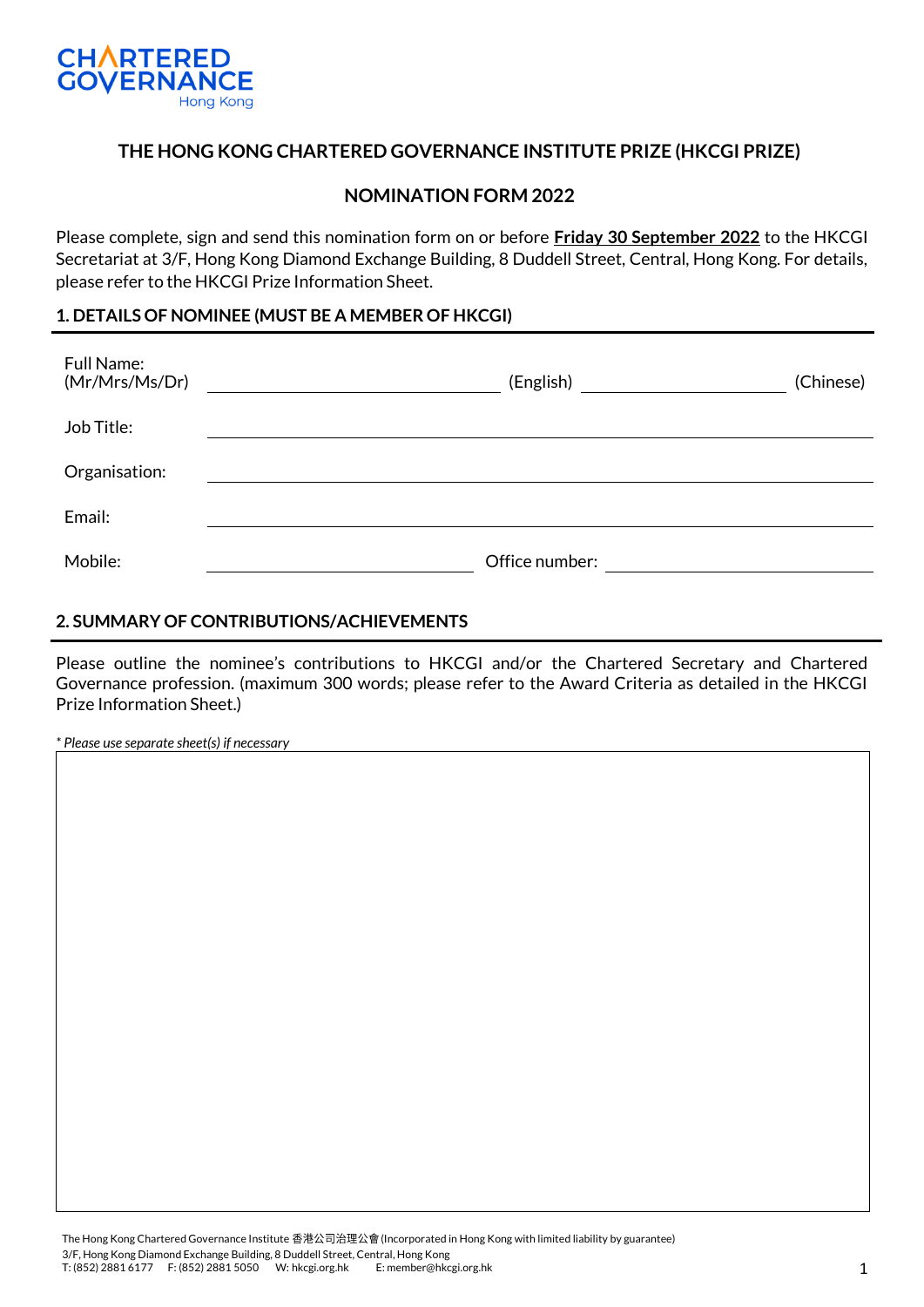

## **THE HONG KONG CHARTERED GOVERNANCE INSTITUTE PRIZE (HKCGI PRIZE)**

### **NOMINATION FORM 2022**

Please complete, sign and send this nomination form on or before **Friday 30 September 2022** to the HKCGI Secretariat at 3/F, Hong Kong Diamond Exchange Building, 8 Duddell Street, Central, Hong Kong. For details, please refer to the HKCGI Prize Information Sheet.

#### **1. DETAILS OF NOMINEE (MUST BE A MEMBER OF HKCGI)**

| <b>Full Name:</b><br>(Mr/Mrs/Ms/Dr) | (English) and the control of the control of the control of the control of the control of the control of the control of the control of the control of the control of the control of the control of the control of the control o | (Chinese) |
|-------------------------------------|--------------------------------------------------------------------------------------------------------------------------------------------------------------------------------------------------------------------------------|-----------|
| Job Title:                          |                                                                                                                                                                                                                                |           |
| Organisation:                       |                                                                                                                                                                                                                                |           |
| Email:                              |                                                                                                                                                                                                                                |           |
| Mobile:                             | Office number:                                                                                                                                                                                                                 |           |

#### **2. SUMMARY OF CONTRIBUTIONS/ACHIEVEMENTS**

Please outline the nominee's contributions to HKCGI and/or the Chartered Secretary and Chartered Governance profession. (maximum 300 words; please refer to the Award Criteria as detailed in the HKCGI Prize Information Sheet.)

*\* Please use separate sheet(s) if necessary*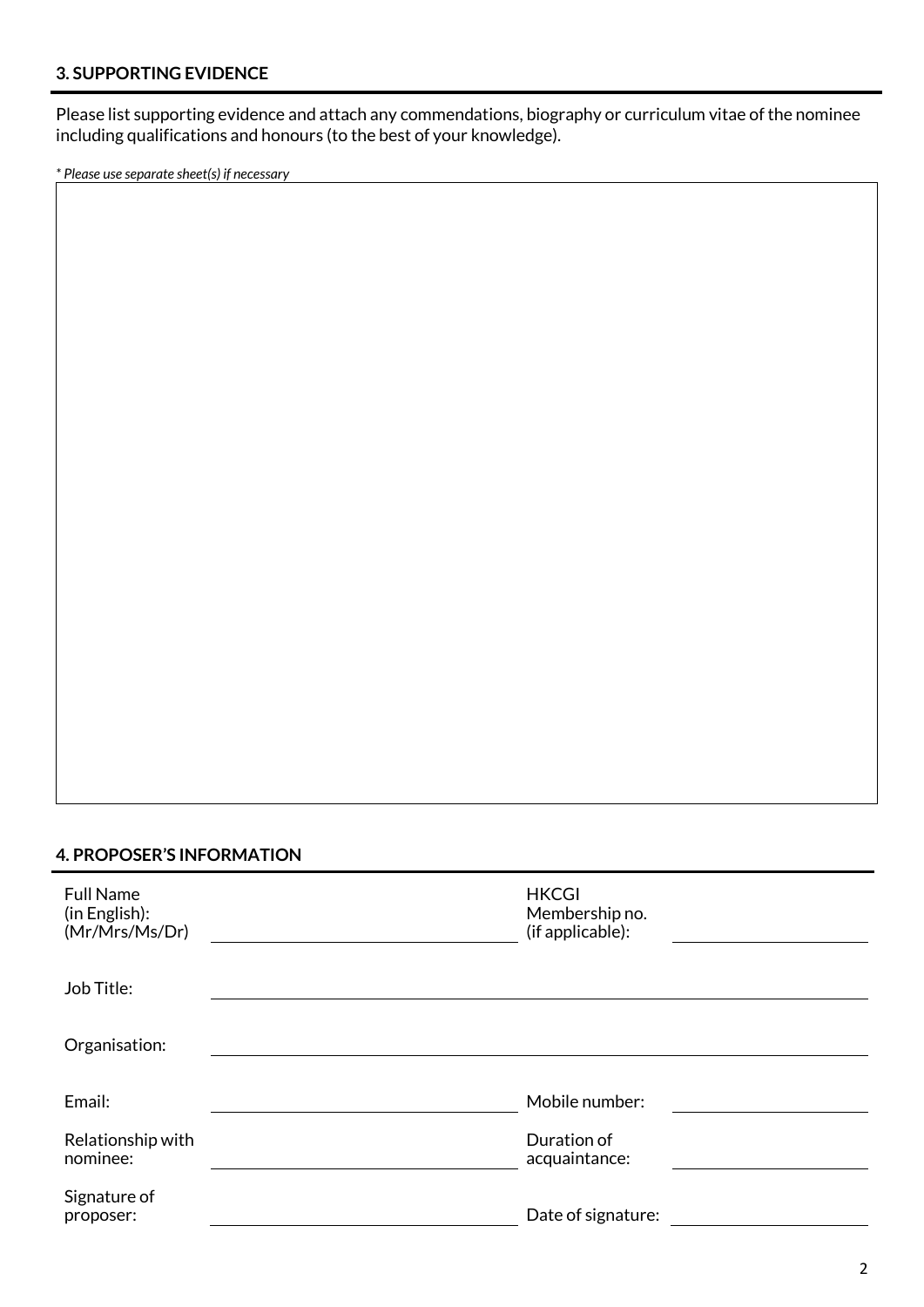## **3. SUPPORTING EVIDENCE**

Please list supporting evidence and attach any commendations, biography or curriculum vitae of the nominee including qualifications and honours (to the best of your knowledge).

*\* Please use separate sheet(s) if necessary*

#### **4. PROPOSER'S INFORMATION**

| <b>Full Name</b><br>(in English):<br>(Mr/Mrs/Ms/Dr) | <b>HKCGI</b><br>Membership no.<br>(if applicable): |
|-----------------------------------------------------|----------------------------------------------------|
| Job Title:                                          |                                                    |
| Organisation:                                       |                                                    |
| Email:                                              | Mobile number:                                     |
| Relationship with<br>nominee:                       | Duration of<br>acquaintance:                       |
| Signature of<br>proposer:                           | Date of signature:                                 |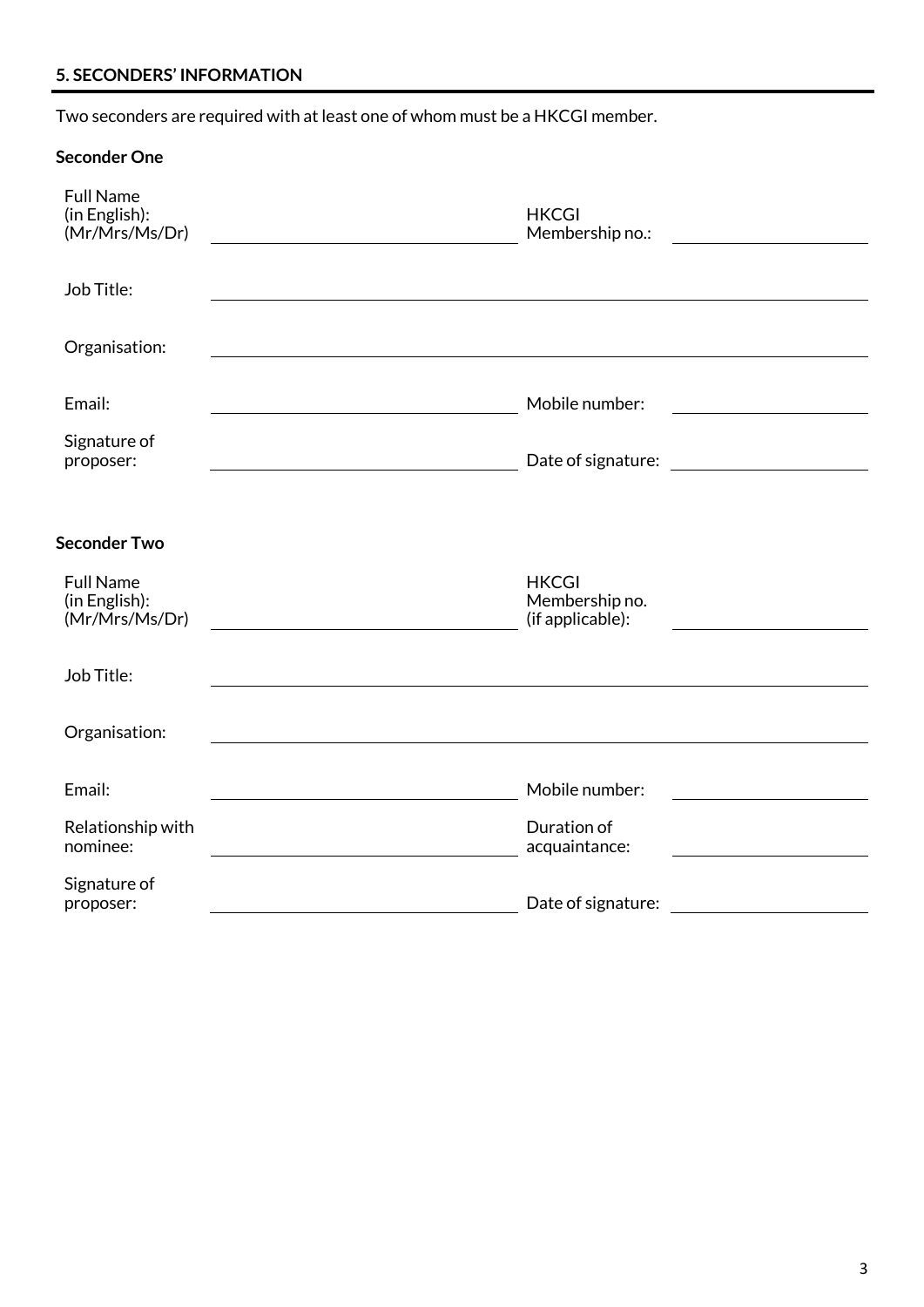# **5. SECONDERS' INFORMATION**

Two seconders are required with at least one of whom must be a HKCGI member.

| <b>Seconder One</b>                                 |                                                    |                                                 |
|-----------------------------------------------------|----------------------------------------------------|-------------------------------------------------|
| <b>Full Name</b><br>(in English):<br>(Mr/Mrs/Ms/Dr) | <b>HKCGI</b><br>Membership no.:                    |                                                 |
| Job Title:                                          |                                                    |                                                 |
| Organisation:                                       |                                                    |                                                 |
| Email:                                              | Mobile number:                                     | the contract of the contract of the contract of |
| Signature of<br>proposer:                           | Date of signature:                                 | <u> 1980 - Jan Barbara Barat, manala</u>        |
| <b>Seconder Two</b>                                 |                                                    |                                                 |
| <b>Full Name</b><br>(in English):<br>(Mr/Mrs/Ms/Dr) | <b>HKCGI</b><br>Membership no.<br>(if applicable): |                                                 |
| Job Title:                                          |                                                    |                                                 |
| Organisation:                                       |                                                    |                                                 |
| Email:                                              | Mobile number:                                     |                                                 |
| Relationship with<br>nominee:                       | Duration of<br>acquaintance:                       |                                                 |
| Signature of<br>proposer:                           | Date of signature:                                 |                                                 |